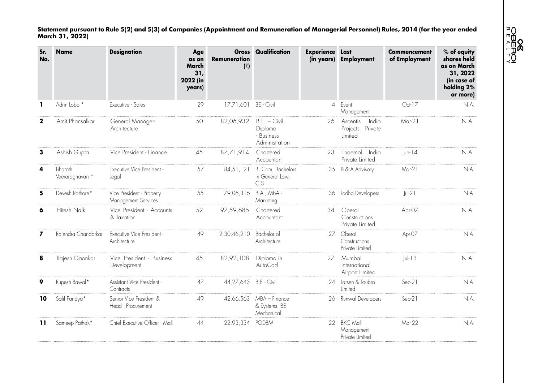**USEROI**<br>OBEROI

**Statement pursuant to Rule 5(2) and 5(3) of Companies (Appointment and Remuneration of Managerial Personnel) Rules, 2014 (for the year ended March 31, 2022)**

| Sr.<br>No. | <b>Name</b>                | <b>Designation</b>                               | Age<br>as on<br>March<br>31,<br>2022 (in<br>years) | Gross<br><b>Remuneration</b><br>(3) | Qualification                                             | <b>Experience</b> | Last<br>(in years) Employment                       | <b>Commencement</b><br>of Employment | % of equity<br>shares held<br>as on March<br>31, 2022<br>(in case of<br>holding 2%<br>or more) |
|------------|----------------------------|--------------------------------------------------|----------------------------------------------------|-------------------------------------|-----------------------------------------------------------|-------------------|-----------------------------------------------------|--------------------------------------|------------------------------------------------------------------------------------------------|
| -1         | Adrin Lobo <sup>*</sup>    | Executive - Sales                                | 29                                                 | 17,71,601                           | BE - Civil                                                | $\overline{A}$    | Event<br>Management                                 | Oct-17                               | N.A.                                                                                           |
| 2          | Amit Phansalkar            | General Manager-<br>Architecture                 | 50                                                 | 82,06,932                           | $B.E. - Civil$<br>Diploma<br>- Business<br>Administration | 26                | India<br>Ascentis<br>Private<br>Projects<br>Limited | $Mar-21$                             | N.A.                                                                                           |
| 3          | Ashish Gupta               | Vice President - Finance                         | 45                                                 | 87,71,914                           | Chartered<br>Accountant                                   | 23                | Endemol<br>India<br>Private Limited                 | $ un-14$                             | N.A.                                                                                           |
|            | Bharath<br>Veeraraghavan * | Executive Vice President -<br>Legal              | 57                                                 | 84,51,121                           | B. Com, Bachelors<br>in General Law,<br>C.S               | 35                | B & A Advisory                                      | Mar-21                               | N.A.                                                                                           |
|            | Devesh Rathore*            | Vice President - Property<br>Management Services | 55                                                 | 79,06,316                           | B.A, MBA-<br>Marketing                                    |                   | 36 Lodha Developers                                 | $ u $ -21                            | N.A.                                                                                           |
|            | Hitesh Naik                | Vice President - Accounts<br>& Taxation          | 52                                                 | 97,59,685                           | Chartered<br>Accountant                                   | 34                | Oberoi<br>Constructions<br>Private Limited          | Apr-07                               | n.a.                                                                                           |
| 7          | Rajendra Chandorkar        | Executive Vice President -<br>Architecture       | 49                                                 | 2,30,46,210                         | Bachelor of<br>Architecture                               | 27                | Oberoi<br>Constructions<br>Private Limited          | Apr-07                               | N.A.                                                                                           |
| 8          | Rajesh Gaonkar             | Vice President - Business<br>Development         | 45                                                 | 82,92,108                           | Diploma in<br>AutoCad                                     | 27                | Mumbai<br>International<br>Airport Limited          | $ U -13$                             | N.A.                                                                                           |
| 9          | Rupesh Rawal*              | Assistant Vice President -<br>Contracts          | 47                                                 | 44,27,643 B.E - Civil               |                                                           | 24                | Larsen & Toubro<br>limited                          | Sep-21                               | N.A.                                                                                           |
| 10         | Salil Pandya*              | Senior Vice President &<br>Head - Procurement    | 49                                                 | 42,66,563                           | MBA - Finance<br>& Systems. BE-<br>Mechanical             | 26                | Runwal Developers                                   | Sep-21                               | N.A.                                                                                           |
| 11         | Sameep Pathak*             | Chief Executive Officer - Mall                   | 44                                                 | 22,93,334                           | <b>PGDBM</b>                                              | 22                | <b>BKC Mall</b><br>Management<br>Private Limited    | Mar-22                               | N.A.                                                                                           |